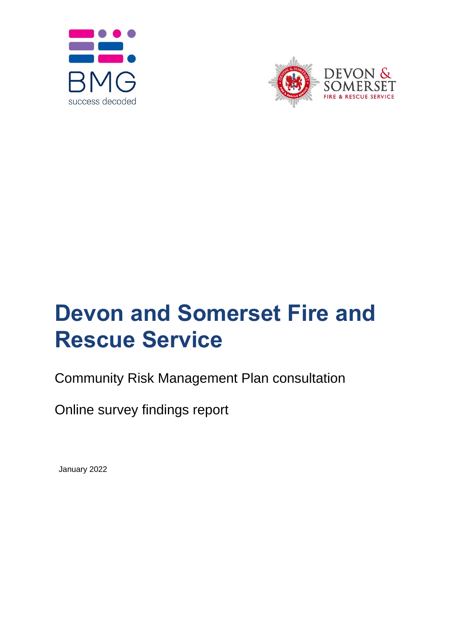



# **Devon and Somerset Fire and Rescue Service**

## Community Risk Management Plan consultation

Online survey findings report

January 2022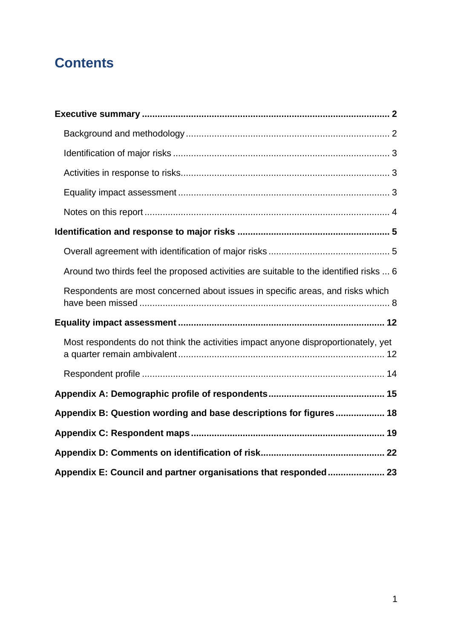### **Contents**

| Around two thirds feel the proposed activities are suitable to the identified risks  6 |
|----------------------------------------------------------------------------------------|
| Respondents are most concerned about issues in specific areas, and risks which         |
|                                                                                        |
| Most respondents do not think the activities impact anyone disproportionately, yet     |
|                                                                                        |
|                                                                                        |
| Appendix B: Question wording and base descriptions for figures 18                      |
|                                                                                        |
|                                                                                        |
| Appendix E: Council and partner organisations that responded 23                        |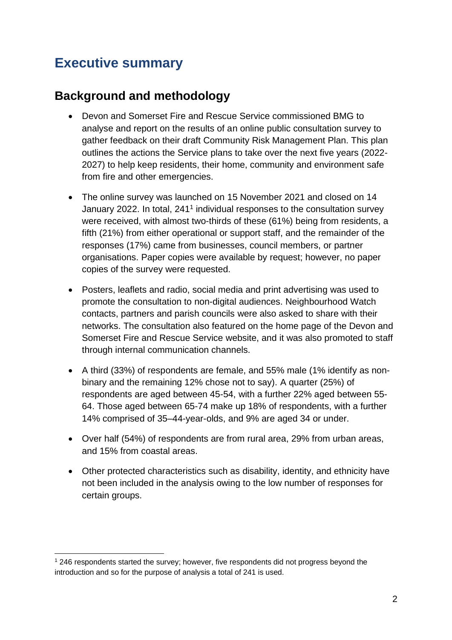### <span id="page-2-0"></span>**Executive summary**

#### <span id="page-2-1"></span>**Background and methodology**

- Devon and Somerset Fire and Rescue Service commissioned BMG to analyse and report on the results of an online public consultation survey to gather feedback on their draft Community Risk Management Plan. This plan outlines the actions the Service plans to take over the next five years (2022- 2027) to help keep residents, their home, community and environment safe from fire and other emergencies.
- The online survey was launched on 15 November 2021 and closed on 14 January 2022. In total, 241<sup>1</sup> individual responses to the consultation survey were received, with almost two-thirds of these (61%) being from residents, a fifth (21%) from either operational or support staff, and the remainder of the responses (17%) came from businesses, council members, or partner organisations. Paper copies were available by request; however, no paper copies of the survey were requested.
- Posters, leaflets and radio, social media and print advertising was used to promote the consultation to non-digital audiences. Neighbourhood Watch contacts, partners and parish councils were also asked to share with their networks. The consultation also featured on the home page of the Devon and Somerset Fire and Rescue Service website, and it was also promoted to staff through internal communication channels.
- A third (33%) of respondents are female, and 55% male (1% identify as nonbinary and the remaining 12% chose not to say). A quarter (25%) of respondents are aged between 45-54, with a further 22% aged between 55- 64. Those aged between 65-74 make up 18% of respondents, with a further 14% comprised of 35–44-year-olds, and 9% are aged 34 or under.
- Over half (54%) of respondents are from rural area, 29% from urban areas, and 15% from coastal areas.
- Other protected characteristics such as disability, identity, and ethnicity have not been included in the analysis owing to the low number of responses for certain groups.

<sup>1</sup> 246 respondents started the survey; however, five respondents did not progress beyond the introduction and so for the purpose of analysis a total of 241 is used.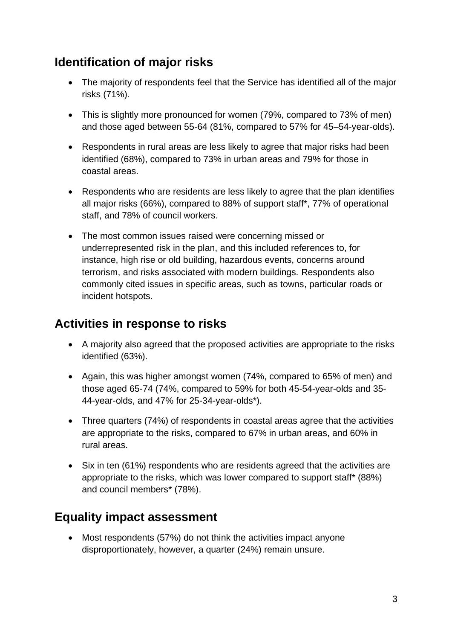### <span id="page-3-0"></span>**Identification of major risks**

- The majority of respondents feel that the Service has identified all of the major risks (71%).
- This is slightly more pronounced for women (79%, compared to 73% of men) and those aged between 55-64 (81%, compared to 57% for 45–54-year-olds).
- Respondents in rural areas are less likely to agree that major risks had been identified (68%), compared to 73% in urban areas and 79% for those in coastal areas.
- Respondents who are residents are less likely to agree that the plan identifies all major risks (66%), compared to 88% of support staff\*, 77% of operational staff, and 78% of council workers.
- The most common issues raised were concerning missed or underrepresented risk in the plan, and this included references to, for instance, high rise or old building, hazardous events, concerns around terrorism, and risks associated with modern buildings. Respondents also commonly cited issues in specific areas, such as towns, particular roads or incident hotspots.

### <span id="page-3-1"></span>**Activities in response to risks**

- A majority also agreed that the proposed activities are appropriate to the risks identified (63%).
- Again, this was higher amongst women (74%, compared to 65% of men) and those aged 65-74 (74%, compared to 59% for both 45-54-year-olds and 35- 44-year-olds, and 47% for 25-34-year-olds\*).
- Three quarters (74%) of respondents in coastal areas agree that the activities are appropriate to the risks, compared to 67% in urban areas, and 60% in rural areas.
- Six in ten (61%) respondents who are residents agreed that the activities are appropriate to the risks, which was lower compared to support staff\* (88%) and council members\* (78%).

### <span id="page-3-2"></span>**Equality impact assessment**

• Most respondents (57%) do not think the activities impact anyone disproportionately, however, a quarter (24%) remain unsure.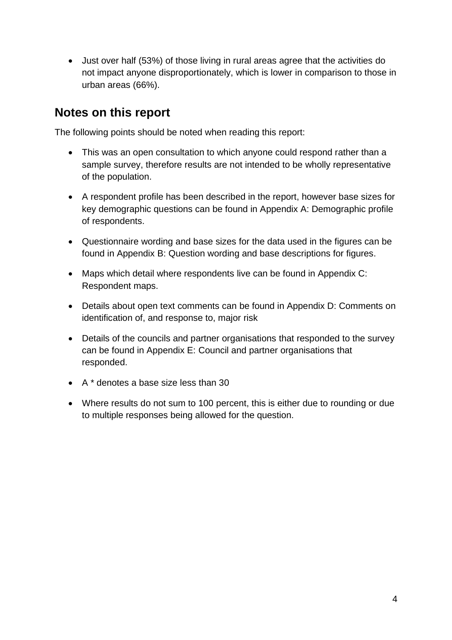• Just over half (53%) of those living in rural areas agree that the activities do not impact anyone disproportionately, which is lower in comparison to those in urban areas (66%).

#### <span id="page-4-0"></span>**Notes on this report**

The following points should be noted when reading this report:

- This was an open consultation to which anyone could respond rather than a sample survey, therefore results are not intended to be wholly representative of the population.
- A respondent profile has been described in the report, however base sizes for key demographic questions can be found in Appendix A: Demographic profile of respondents.
- Questionnaire wording and base sizes for the data used in the figures can be found in Appendix B: Question wording and base descriptions for figures.
- Maps which detail where respondents live can be found in Appendix C: Respondent maps.
- Details about open text comments can be found in Appendix D: Comments on identification of, and response to, major risk
- Details of the councils and partner organisations that responded to the survey can be found in Appendix E: Council and partner organisations that responded.
- A \* denotes a base size less than 30
- Where results do not sum to 100 percent, this is either due to rounding or due to multiple responses being allowed for the question.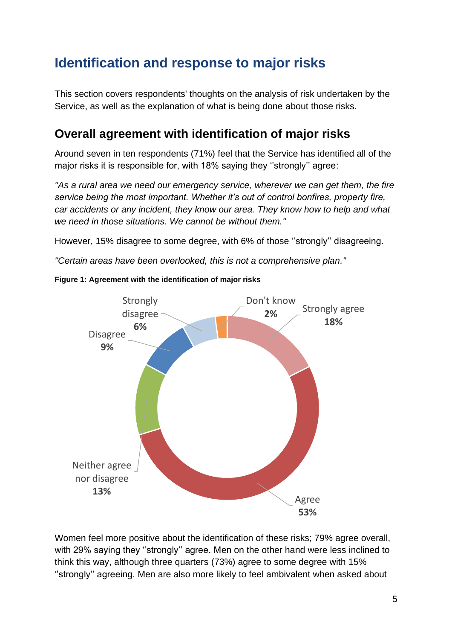### <span id="page-5-0"></span>**Identification and response to major risks**

This section covers respondents' thoughts on the analysis of risk undertaken by the Service, as well as the explanation of what is being done about those risks.

#### <span id="page-5-1"></span>**Overall agreement with identification of major risks**

Around seven in ten respondents (71%) feel that the Service has identified all of the major risks it is responsible for, with 18% saying they ''strongly'' agree:

*''As a rural area we need our emergency service, wherever we can get them, the fire service being the most important. Whether it's out of control bonfires, property fire, car accidents or any incident, they know our area. They know how to help and what we need in those situations. We cannot be without them.''*

However, 15% disagree to some degree, with 6% of those ''strongly'' disagreeing.

*''Certain areas have been overlooked, this is not a comprehensive plan.''*



#### **Figure 1: Agreement with the identification of major risks**

Women feel more positive about the identification of these risks; 79% agree overall, with 29% saying they ''strongly'' agree. Men on the other hand were less inclined to think this way, although three quarters (73%) agree to some degree with 15% ''strongly'' agreeing. Men are also more likely to feel ambivalent when asked about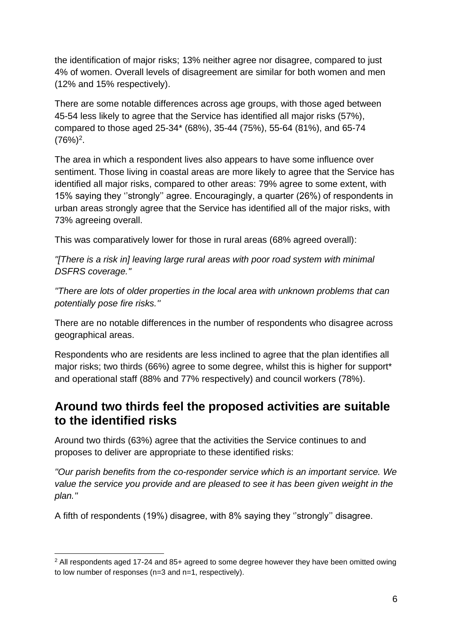the identification of major risks; 13% neither agree nor disagree, compared to just 4% of women. Overall levels of disagreement are similar for both women and men (12% and 15% respectively).

There are some notable differences across age groups, with those aged between 45-54 less likely to agree that the Service has identified all major risks (57%), compared to those aged 25-34\* (68%), 35-44 (75%), 55-64 (81%), and 65-74  $(76%)<sup>2</sup>$ .

The area in which a respondent lives also appears to have some influence over sentiment. Those living in coastal areas are more likely to agree that the Service has identified all major risks, compared to other areas: 79% agree to some extent, with 15% saying they ''strongly'' agree. Encouragingly, a quarter (26%) of respondents in urban areas strongly agree that the Service has identified all of the major risks, with 73% agreeing overall.

This was comparatively lower for those in rural areas (68% agreed overall):

*''[There is a risk in] leaving large rural areas with poor road system with minimal DSFRS coverage.''*

*''There are lots of older properties in the local area with unknown problems that can potentially pose fire risks.''*

There are no notable differences in the number of respondents who disagree across geographical areas.

Respondents who are residents are less inclined to agree that the plan identifies all major risks; two thirds (66%) agree to some degree, whilst this is higher for support\* and operational staff (88% and 77% respectively) and council workers (78%).

#### <span id="page-6-0"></span>**Around two thirds feel the proposed activities are suitable to the identified risks**

Around two thirds (63%) agree that the activities the Service continues to and proposes to deliver are appropriate to these identified risks:

*''Our parish benefits from the co-responder service which is an important service. We value the service you provide and are pleased to see it has been given weight in the plan.''*

A fifth of respondents (19%) disagree, with 8% saying they ''strongly'' disagree.

 $2$  All respondents aged 17-24 and 85+ agreed to some degree however they have been omitted owing to low number of responses (n=3 and n=1, respectively).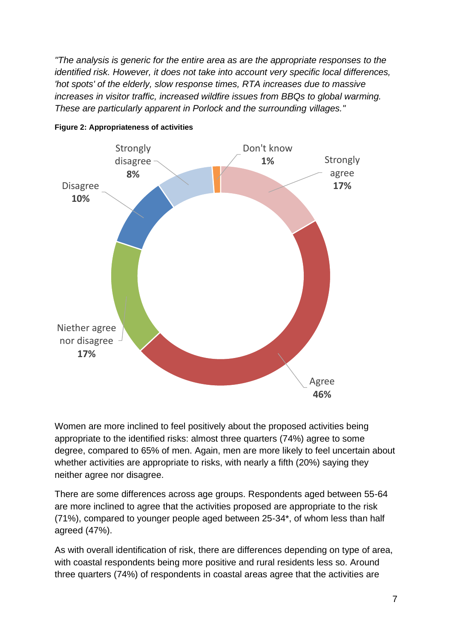*''The analysis is generic for the entire area as are the appropriate responses to the identified risk. However, it does not take into account very specific local differences, 'hot spots' of the elderly, slow response times, RTA increases due to massive increases in visitor traffic, increased wildfire issues from BBQs to global warming. These are particularly apparent in Porlock and the surrounding villages.''*





Women are more inclined to feel positively about the proposed activities being appropriate to the identified risks: almost three quarters (74%) agree to some degree, compared to 65% of men. Again, men are more likely to feel uncertain about whether activities are appropriate to risks, with nearly a fifth (20%) saying they neither agree nor disagree.

There are some differences across age groups. Respondents aged between 55-64 are more inclined to agree that the activities proposed are appropriate to the risk (71%), compared to younger people aged between 25-34\*, of whom less than half agreed (47%).

As with overall identification of risk, there are differences depending on type of area, with coastal respondents being more positive and rural residents less so. Around three quarters (74%) of respondents in coastal areas agree that the activities are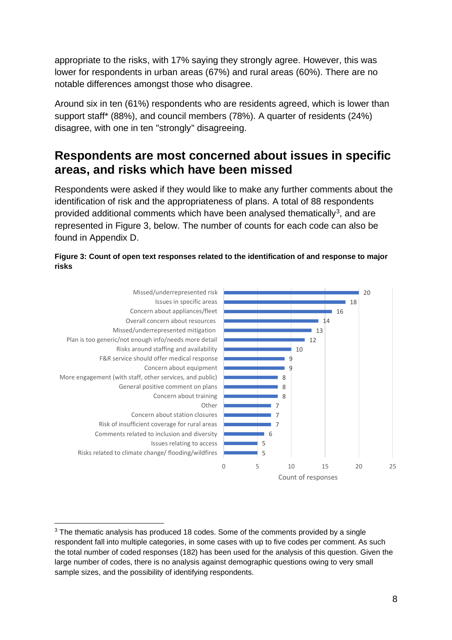appropriate to the risks, with 17% saying they strongly agree. However, this was lower for respondents in urban areas (67%) and rural areas (60%). There are no notable differences amongst those who disagree.

Around six in ten (61%) respondents who are residents agreed, which is lower than support staff\* (88%), and council members (78%). A quarter of residents (24%) disagree, with one in ten ''strongly'' disagreeing.

#### <span id="page-8-0"></span>**Respondents are most concerned about issues in specific areas, and risks which have been missed**

Respondents were asked if they would like to make any further comments about the identification of risk and the appropriateness of plans. A total of 88 respondents provided additional comments which have been analysed thematically<sup>3</sup>, and are represented in Figure 3, below. The number of counts for each code can also be found in Appendix D.





 $3$  The thematic analysis has produced 18 codes. Some of the comments provided by a single respondent fall into multiple categories, in some cases with up to five codes per comment. As such the total number of coded responses (182) has been used for the analysis of this question. Given the large number of codes, there is no analysis against demographic questions owing to very small sample sizes, and the possibility of identifying respondents.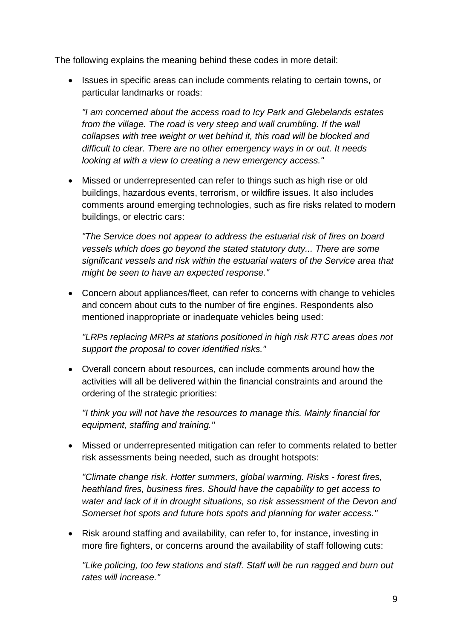The following explains the meaning behind these codes in more detail:

• Issues in specific areas can include comments relating to certain towns, or particular landmarks or roads:

*"I am concerned about the access road to Icy Park and Glebelands estates*  from the village. The road is very steep and wall crumbling. If the wall *collapses with tree weight or wet behind it, this road will be blocked and difficult to clear. There are no other emergency ways in or out. It needs looking at with a view to creating a new emergency access."*

• Missed or underrepresented can refer to things such as high rise or old buildings, hazardous events, terrorism, or wildfire issues. It also includes comments around emerging technologies, such as fire risks related to modern buildings, or electric cars:

*"The Service does not appear to address the estuarial risk of fires on board vessels which does go beyond the stated statutory duty... There are some significant vessels and risk within the estuarial waters of the Service area that might be seen to have an expected response."*

• Concern about appliances/fleet, can refer to concerns with change to vehicles and concern about cuts to the number of fire engines. Respondents also mentioned inappropriate or inadequate vehicles being used:

*''LRPs replacing MRPs at stations positioned in high risk RTC areas does not support the proposal to cover identified risks.''*

• Overall concern about resources, can include comments around how the activities will all be delivered within the financial constraints and around the ordering of the strategic priorities:

*''I think you will not have the resources to manage this. Mainly financial for equipment, staffing and training.''*

• Missed or underrepresented mitigation can refer to comments related to better risk assessments being needed, such as drought hotspots:

*''Climate change risk. Hotter summers, global warming. Risks - forest fires, heathland fires, business fires. Should have the capability to get access to water and lack of it in drought situations, so risk assessment of the Devon and Somerset hot spots and future hots spots and planning for water access.''*

• Risk around staffing and availability, can refer to, for instance, investing in more fire fighters, or concerns around the availability of staff following cuts:

*''Like policing, too few stations and staff. Staff will be run ragged and burn out rates will increase.''*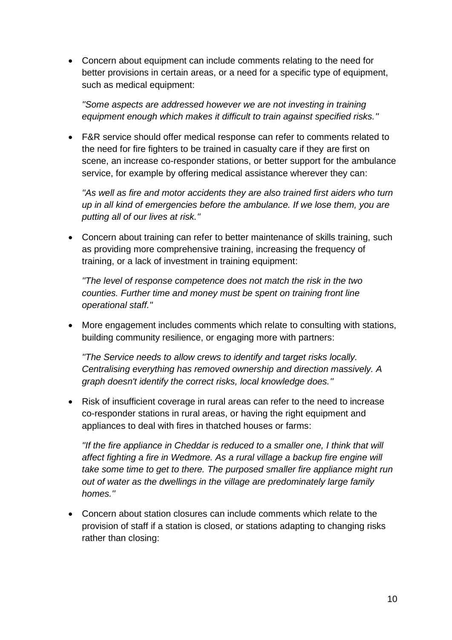• Concern about equipment can include comments relating to the need for better provisions in certain areas, or a need for a specific type of equipment, such as medical equipment:

*''Some aspects are addressed however we are not investing in training equipment enough which makes it difficult to train against specified risks.''*

• F&R service should offer medical response can refer to comments related to the need for fire fighters to be trained in casualty care if they are first on scene, an increase co-responder stations, or better support for the ambulance service, for example by offering medical assistance wherever they can:

*''As well as fire and motor accidents they are also trained first aiders who turn up in all kind of emergencies before the ambulance. If we lose them, you are putting all of our lives at risk.''*

• Concern about training can refer to better maintenance of skills training, such as providing more comprehensive training, increasing the frequency of training, or a lack of investment in training equipment:

*''The level of response competence does not match the risk in the two counties. Further time and money must be spent on training front line operational staff.''*

• More engagement includes comments which relate to consulting with stations, building community resilience, or engaging more with partners:

*''The Service needs to allow crews to identify and target risks locally. Centralising everything has removed ownership and direction massively. A graph doesn't identify the correct risks, local knowledge does.''*

• Risk of insufficient coverage in rural areas can refer to the need to increase co-responder stations in rural areas, or having the right equipment and appliances to deal with fires in thatched houses or farms:

*''If the fire appliance in Cheddar is reduced to a smaller one. I think that will affect fighting a fire in Wedmore. As a rural village a backup fire engine will take some time to get to there. The purposed smaller fire appliance might run out of water as the dwellings in the village are predominately large family homes.''*

• Concern about station closures can include comments which relate to the provision of staff if a station is closed, or stations adapting to changing risks rather than closing: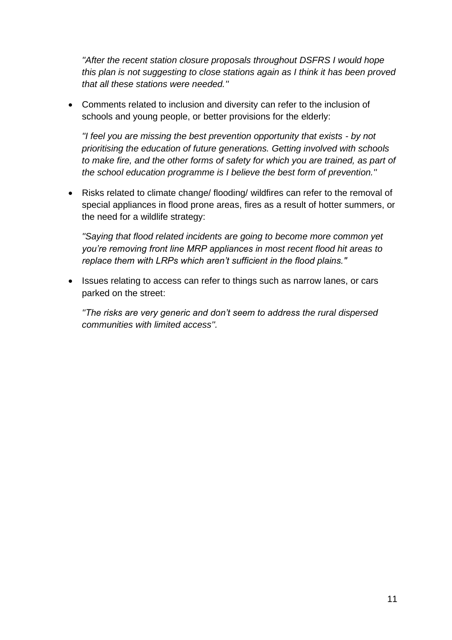*''After the recent station closure proposals throughout DSFRS I would hope this plan is not suggesting to close stations again as I think it has been proved that all these stations were needed.''*

• Comments related to inclusion and diversity can refer to the inclusion of schools and young people, or better provisions for the elderly:

*''I feel you are missing the best prevention opportunity that exists - by not prioritising the education of future generations. Getting involved with schools to make fire, and the other forms of safety for which you are trained, as part of the school education programme is I believe the best form of prevention.''*

• Risks related to climate change/ flooding/ wildfires can refer to the removal of special appliances in flood prone areas, fires as a result of hotter summers, or the need for a wildlife strategy:

*''Saying that flood related incidents are going to become more common yet you're removing front line MRP appliances in most recent flood hit areas to replace them with LRPs which aren't sufficient in the flood plains.''*

• Issues relating to access can refer to things such as narrow lanes, or cars parked on the street:

*''The risks are very generic and don't seem to address the rural dispersed communities with limited access''.*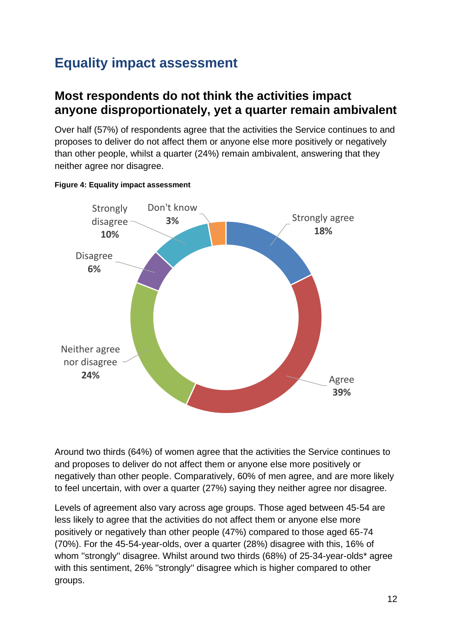### <span id="page-12-0"></span>**Equality impact assessment**

#### <span id="page-12-1"></span>**Most respondents do not think the activities impact anyone disproportionately, yet a quarter remain ambivalent**

Over half (57%) of respondents agree that the activities the Service continues to and proposes to deliver do not affect them or anyone else more positively or negatively than other people, whilst a quarter (24%) remain ambivalent, answering that they neither agree nor disagree.



#### **Figure 4: Equality impact assessment**

Around two thirds (64%) of women agree that the activities the Service continues to and proposes to deliver do not affect them or anyone else more positively or negatively than other people. Comparatively, 60% of men agree, and are more likely to feel uncertain, with over a quarter (27%) saying they neither agree nor disagree.

Levels of agreement also vary across age groups. Those aged between 45-54 are less likely to agree that the activities do not affect them or anyone else more positively or negatively than other people (47%) compared to those aged 65-74 (70%). For the 45-54-year-olds, over a quarter (28%) disagree with this, 16% of whom ''strongly'' disagree. Whilst around two thirds (68%) of 25-34-year-olds\* agree with this sentiment, 26% ''strongly'' disagree which is higher compared to other groups.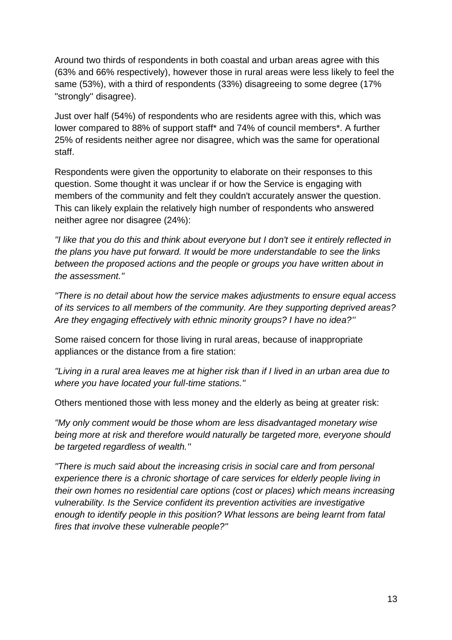Around two thirds of respondents in both coastal and urban areas agree with this (63% and 66% respectively), however those in rural areas were less likely to feel the same (53%), with a third of respondents (33%) disagreeing to some degree (17% ''strongly'' disagree).

Just over half (54%) of respondents who are residents agree with this, which was lower compared to 88% of support staff\* and 74% of council members\*. A further 25% of residents neither agree nor disagree, which was the same for operational staff.

Respondents were given the opportunity to elaborate on their responses to this question. Some thought it was unclear if or how the Service is engaging with members of the community and felt they couldn't accurately answer the question. This can likely explain the relatively high number of respondents who answered neither agree nor disagree (24%):

*''I like that you do this and think about everyone but I don't see it entirely reflected in the plans you have put forward. It would be more understandable to see the links between the proposed actions and the people or groups you have written about in the assessment.''*

*''There is no detail about how the service makes adjustments to ensure equal access of its services to all members of the community. Are they supporting deprived areas? Are they engaging effectively with ethnic minority groups? I have no idea?''*

Some raised concern for those living in rural areas, because of inappropriate appliances or the distance from a fire station:

*''Living in a rural area leaves me at higher risk than if I lived in an urban area due to where you have located your full-time stations.''*

Others mentioned those with less money and the elderly as being at greater risk:

*''My only comment would be those whom are less disadvantaged monetary wise being more at risk and therefore would naturally be targeted more, everyone should be targeted regardless of wealth.''*

*''There is much said about the increasing crisis in social care and from personal experience there is a chronic shortage of care services for elderly people living in their own homes no residential care options (cost or places) which means increasing vulnerability. Is the Service confident its prevention activities are investigative enough to identify people in this position? What lessons are being learnt from fatal fires that involve these vulnerable people?''*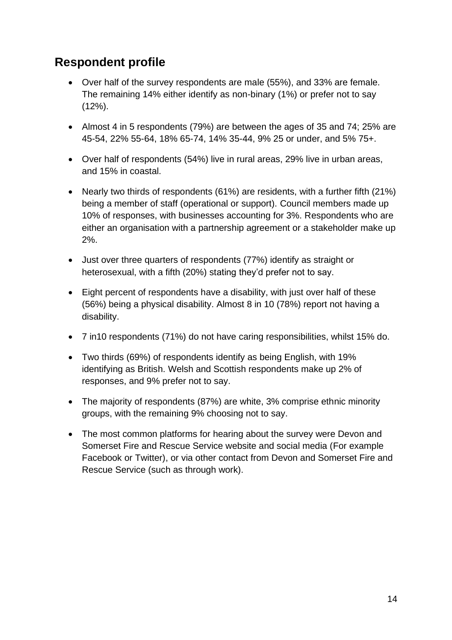#### <span id="page-14-0"></span>**Respondent profile**

- Over half of the survey respondents are male (55%), and 33% are female. The remaining 14% either identify as non-binary (1%) or prefer not to say (12%).
- Almost 4 in 5 respondents (79%) are between the ages of 35 and 74; 25% are 45-54, 22% 55-64, 18% 65-74, 14% 35-44, 9% 25 or under, and 5% 75+.
- Over half of respondents (54%) live in rural areas, 29% live in urban areas, and 15% in coastal.
- Nearly two thirds of respondents (61%) are residents, with a further fifth (21%) being a member of staff (operational or support). Council members made up 10% of responses, with businesses accounting for 3%. Respondents who are either an organisation with a partnership agreement or a stakeholder make up 2%.
- Just over three quarters of respondents (77%) identify as straight or heterosexual, with a fifth (20%) stating they'd prefer not to say.
- Eight percent of respondents have a disability, with just over half of these (56%) being a physical disability. Almost 8 in 10 (78%) report not having a disability.
- 7 in10 respondents (71%) do not have caring responsibilities, whilst 15% do.
- Two thirds (69%) of respondents identify as being English, with 19% identifying as British. Welsh and Scottish respondents make up 2% of responses, and 9% prefer not to say.
- The majority of respondents (87%) are white, 3% comprise ethnic minority groups, with the remaining 9% choosing not to say.
- The most common platforms for hearing about the survey were Devon and Somerset Fire and Rescue Service website and social media (For example Facebook or Twitter), or via other contact from Devon and Somerset Fire and Rescue Service (such as through work).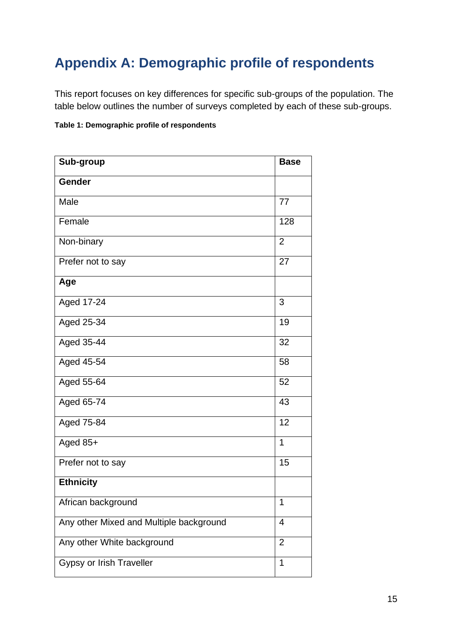### <span id="page-15-0"></span>**Appendix A: Demographic profile of respondents**

This report focuses on key differences for specific sub-groups of the population. The table below outlines the number of surveys completed by each of these sub-groups.

#### **Table 1: Demographic profile of respondents**

| Sub-group                               | <b>Base</b>    |
|-----------------------------------------|----------------|
| <b>Gender</b>                           |                |
| Male                                    | 77             |
| Female                                  | 128            |
| Non-binary                              | $\overline{2}$ |
| Prefer not to say                       | 27             |
| Age                                     |                |
| Aged 17-24                              | 3              |
| Aged 25-34                              | 19             |
| Aged 35-44                              | 32             |
| Aged 45-54                              | 58             |
| Aged 55-64                              | 52             |
| Aged 65-74                              | 43             |
| Aged 75-84                              | 12             |
| Aged 85+                                | 1              |
| Prefer not to say                       | 15             |
| <b>Ethnicity</b>                        |                |
| African background                      | 1              |
| Any other Mixed and Multiple background | 4              |
| Any other White background              | $\overline{2}$ |
| <b>Gypsy or Irish Traveller</b>         | 1              |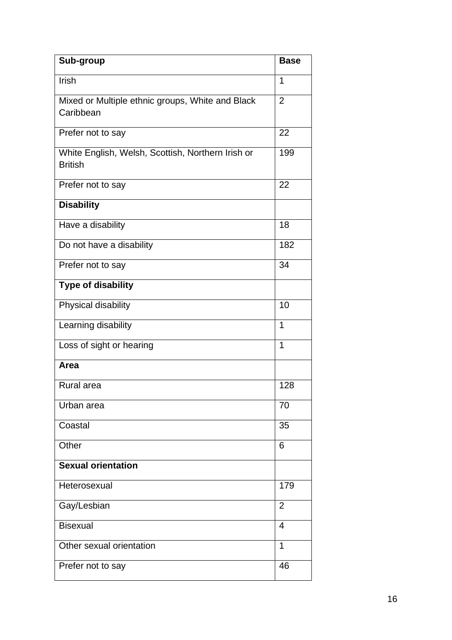| Sub-group                                                           | <b>Base</b>    |
|---------------------------------------------------------------------|----------------|
| Irish                                                               | 1              |
| Mixed or Multiple ethnic groups, White and Black<br>Caribbean       | $\overline{2}$ |
| Prefer not to say                                                   | 22             |
| White English, Welsh, Scottish, Northern Irish or<br><b>British</b> | 199            |
| Prefer not to say                                                   | 22             |
| <b>Disability</b>                                                   |                |
| Have a disability                                                   | 18             |
| Do not have a disability                                            | 182            |
| Prefer not to say                                                   | 34             |
| <b>Type of disability</b>                                           |                |
| Physical disability                                                 | 10             |
| Learning disability                                                 | 1              |
| Loss of sight or hearing                                            | 1              |
| Area                                                                |                |
| <b>Rural</b> area                                                   | 128            |
| Urban area                                                          | 70             |
| Coastal                                                             | 35             |
| Other                                                               | 6              |
| <b>Sexual orientation</b>                                           |                |
| Heterosexual                                                        | 179            |
| Gay/Lesbian                                                         | $\overline{2}$ |
| <b>Bisexual</b>                                                     | $\overline{4}$ |
| Other sexual orientation                                            | 1              |
| Prefer not to say                                                   | 46             |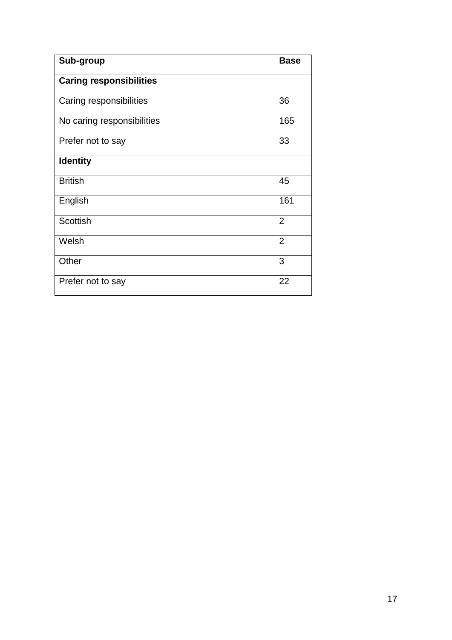| Sub-group                      | <b>Base</b>    |
|--------------------------------|----------------|
| <b>Caring responsibilities</b> |                |
| Caring responsibilities        | 36             |
| No caring responsibilities     | 165            |
| Prefer not to say              | 33             |
| <b>Identity</b>                |                |
| <b>British</b>                 | 45             |
| English                        | 161            |
| <b>Scottish</b>                | $\overline{2}$ |
| Welsh                          | $\overline{2}$ |
| Other                          | 3              |
| Prefer not to say              | 22             |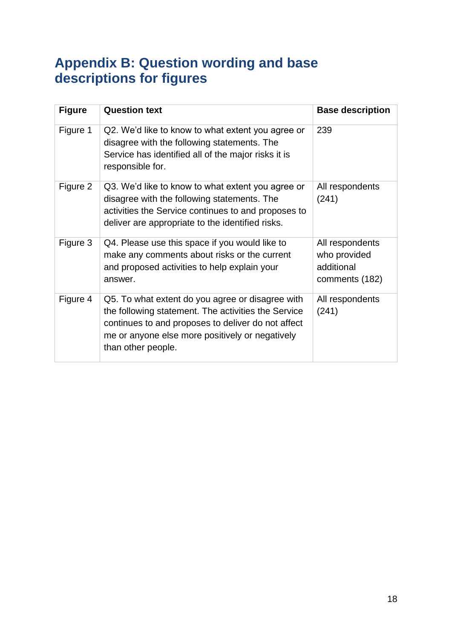### <span id="page-18-0"></span>**Appendix B: Question wording and base descriptions for figures**

| <b>Figure</b> | <b>Question text</b>                                                                                                                                                                                                                   | <b>Base description</b>                                         |
|---------------|----------------------------------------------------------------------------------------------------------------------------------------------------------------------------------------------------------------------------------------|-----------------------------------------------------------------|
| Figure 1      | Q2. We'd like to know to what extent you agree or<br>disagree with the following statements. The<br>Service has identified all of the major risks it is<br>responsible for.                                                            | 239                                                             |
| Figure 2      | Q3. We'd like to know to what extent you agree or<br>disagree with the following statements. The<br>activities the Service continues to and proposes to<br>deliver are appropriate to the identified risks.                            | All respondents<br>(241)                                        |
| Figure 3      | Q4. Please use this space if you would like to<br>make any comments about risks or the current<br>and proposed activities to help explain your<br>answer.                                                                              | All respondents<br>who provided<br>additional<br>comments (182) |
| Figure 4      | Q5. To what extent do you agree or disagree with<br>the following statement. The activities the Service<br>continues to and proposes to deliver do not affect<br>me or anyone else more positively or negatively<br>than other people. | All respondents<br>(241)                                        |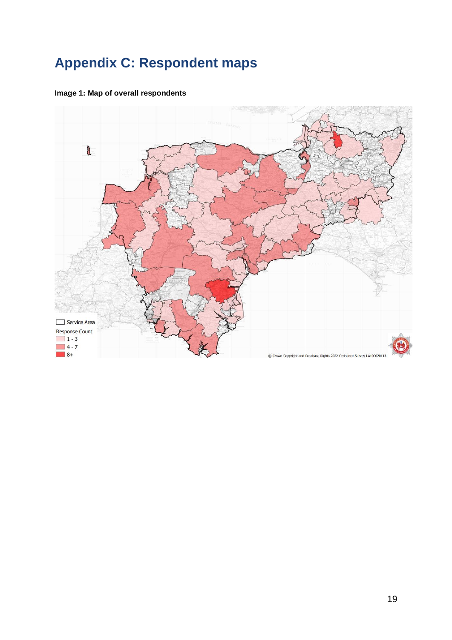# <span id="page-19-0"></span>**Appendix C: Respondent maps**



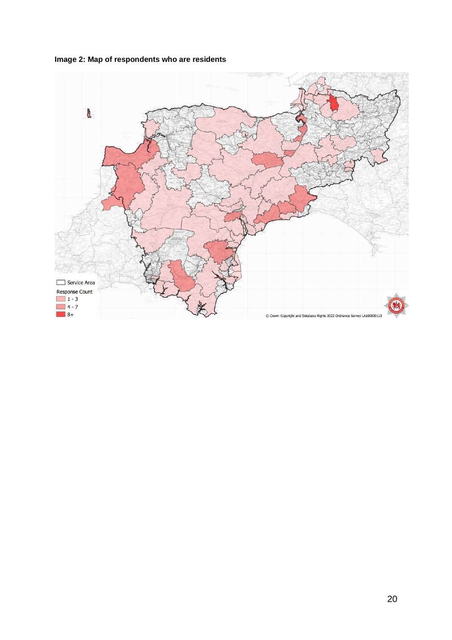

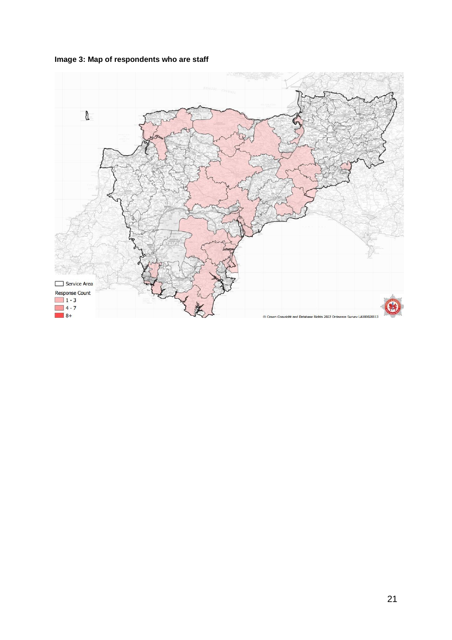

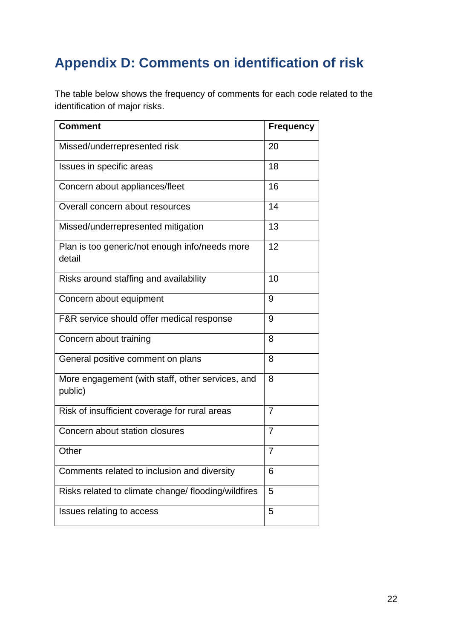# <span id="page-22-0"></span>**Appendix D: Comments on identification of risk**

The table below shows the frequency of comments for each code related to the identification of major risks.

| <b>Comment</b>                                              | <b>Frequency</b> |
|-------------------------------------------------------------|------------------|
| Missed/underrepresented risk                                | 20               |
| Issues in specific areas                                    | 18               |
| Concern about appliances/fleet                              | 16               |
| Overall concern about resources                             | 14               |
| Missed/underrepresented mitigation                          | 13               |
| Plan is too generic/not enough info/needs more<br>detail    | 12               |
| Risks around staffing and availability                      | 10               |
| Concern about equipment                                     | 9                |
| F&R service should offer medical response                   | 9                |
| Concern about training                                      | 8                |
| General positive comment on plans                           | 8                |
| More engagement (with staff, other services, and<br>public) | 8                |
| Risk of insufficient coverage for rural areas               | 7                |
| Concern about station closures                              | 7                |
| Other                                                       | $\overline{7}$   |
| Comments related to inclusion and diversity                 | 6                |
| Risks related to climate change/ flooding/wildfires         | 5                |
| Issues relating to access                                   | 5                |